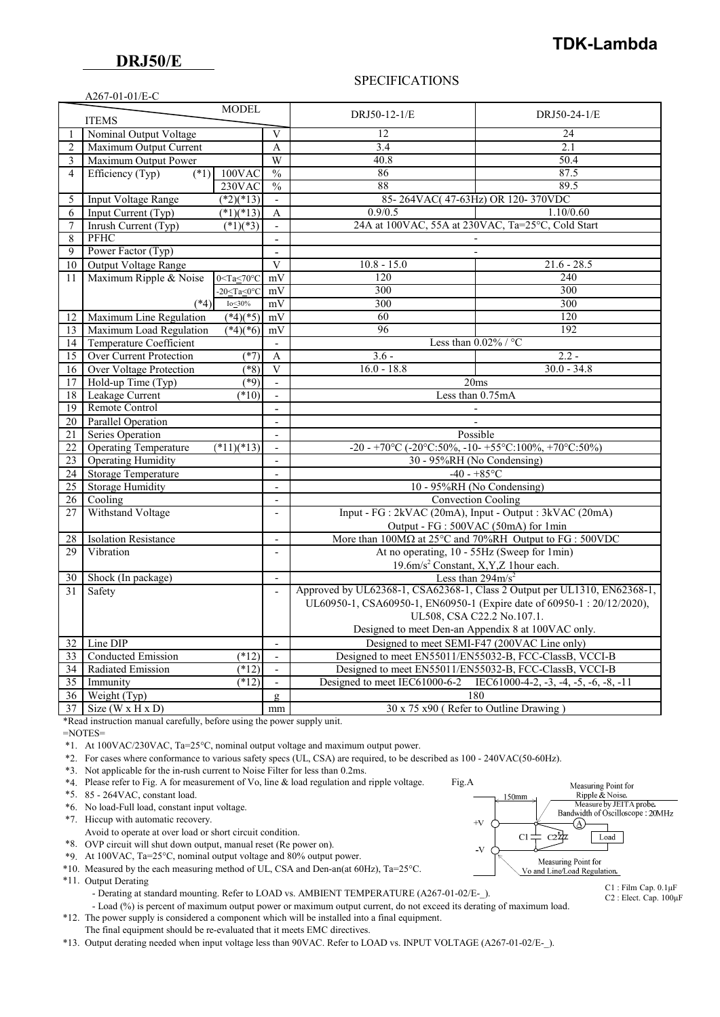$A267-01-01/E-C$ 

## SPECIFICATIONS

|                              | AZU / - VI - VI / L-C                                                |                              |                            |                                                                                                    |               |  |
|------------------------------|----------------------------------------------------------------------|------------------------------|----------------------------|----------------------------------------------------------------------------------------------------|---------------|--|
| <b>MODEL</b><br><b>ITEMS</b> |                                                                      |                              |                            | DRJ50-12-1/E                                                                                       | DRJ50-24-1/E  |  |
| $\mathbf{1}$                 | Nominal Output Voltage                                               |                              |                            | 12                                                                                                 | 24            |  |
| $\overline{2}$               | Maximum Output Current                                               |                              | A                          | 3.4                                                                                                | 2.1           |  |
| 3                            | Maximum Output Power                                                 |                              | W                          | 40.8                                                                                               | 50.4          |  |
| 4                            | Efficiency (Typ)<br>$\overline{(*)}$                                 | 100VAC                       | $\frac{0}{0}$              | 86                                                                                                 | 87.5          |  |
|                              |                                                                      | 230VAC                       | $\frac{0}{0}$              | 88                                                                                                 | 89.5          |  |
| 5                            | <b>Input Voltage Range</b>                                           | $(*2)(*13)$                  | $\overline{\phantom{a}}$   | 85-264VAC(47-63Hz) OR 120-370VDC                                                                   |               |  |
| 6                            | Input Current (Typ)                                                  | $(*1)(*13)$                  | A                          | 0.9/0.5                                                                                            | 1.10/0.60     |  |
| 7                            | Inrush Current (Typ)                                                 | $(*1)(*3)$                   | $\blacksquare$             | 24A at 100VAC, 55A at 230VAC, Ta=25°C, Cold Start                                                  |               |  |
| 8                            | PFHC                                                                 |                              |                            |                                                                                                    |               |  |
| $\mathbf Q$                  | Power Factor (Typ)                                                   |                              | $\sim$                     |                                                                                                    |               |  |
| 10                           | <b>Output Voltage Range</b>                                          |                              | V                          | $10.8 - 15.0$                                                                                      | $21.6 - 28.5$ |  |
| 11                           | Maximum Ripple & Noise                                               | $0 < Ta < 70^{\circ}C$       | mV                         | 120                                                                                                | 240           |  |
|                              |                                                                      | $-20 <$ Ta $<$ 0 $\degree$ C | mV                         | 300                                                                                                | 300           |  |
|                              | $(*4)$                                                               | $Io\_30\%$                   | mV                         | 300                                                                                                | 300           |  |
| 12                           | Maximum Line Regulation                                              | $(*4)(*5)$                   | mV                         | 60                                                                                                 | 120           |  |
| 13                           | Maximum Load Regulation                                              | $(*4)(*6)$                   | mV                         | 96                                                                                                 | 192           |  |
| 14                           | Temperature Coefficient                                              |                              | $\overline{\phantom{0}}$   | Less than $0.02\%$ / °C                                                                            |               |  |
| 15                           | Over Current Protection                                              | $(*7)$                       | A                          | $3.6 -$                                                                                            | $2.2 -$       |  |
| 16                           | <b>Over Voltage Protection</b>                                       | $(*8)$                       | V                          | $16.0 - 18.8$                                                                                      | $30.0 - 34.8$ |  |
| 17                           | Hold-up Time (Typ)                                                   | $(*9)$                       | $\mathbb{Z}^2$             | 20ms                                                                                               |               |  |
| 18                           | Leakage Current                                                      | $(*10)$                      | $\overline{a}$             | Less than 0.75mA                                                                                   |               |  |
| 19                           | Remote Control                                                       |                              | $\overline{a}$             |                                                                                                    |               |  |
| 20                           | <b>Parallel Operation</b>                                            |                              | $\frac{1}{2}$              |                                                                                                    |               |  |
| 21                           | Series Operation                                                     |                              |                            | Possible                                                                                           |               |  |
| 22                           | <b>Operating Temperature</b>                                         | $(*11)(*13)$                 | $\overline{\phantom{a}}$   | -20 - +70°C (-20°C:50%, -10 - +55°C:100%, +70°C:50%)                                               |               |  |
| 23                           | <b>Operating Humidity</b>                                            |                              | $\overline{\phantom{a}}$   | 30 - 95%RH (No Condensing)                                                                         |               |  |
| 24                           | <b>Storage Temperature</b>                                           |                              | $\overline{a}$             | $-40 - +85$ °C                                                                                     |               |  |
| 25                           | <b>Storage Humidity</b>                                              |                              | $\overline{a}$             | 10 - 95%RH (No Condensing)                                                                         |               |  |
| 26                           | Cooling                                                              |                              | $\overline{a}$             | <b>Convection Cooling</b>                                                                          |               |  |
| 27                           | Withstand Voltage                                                    |                              | $\overline{a}$             | Input - FG : 2kVAC (20mA), Input - Output : 3kVAC (20mA)                                           |               |  |
|                              |                                                                      |                              |                            | Output - FG : 500VAC (50mA) for 1min                                                               |               |  |
| 28                           | <b>Isolation Resistance</b>                                          |                              | $\overline{\phantom{a}}$   | More than $100\text{M}\Omega$ at $25^{\circ}\text{C}$ and $70\%$ RH Output to FG : $500\text{VDC}$ |               |  |
| 29                           | Vibration                                                            |                              | $\overline{a}$             | At no operating, 10 - 55Hz (Sweep for 1min)                                                        |               |  |
|                              |                                                                      |                              |                            | 19.6m/s <sup>2</sup> Constant, X,Y,Z 1hour each.                                                   |               |  |
| 30                           | Shock (In package)<br>Less than $294 \text{m/s}^2$<br>$\overline{a}$ |                              |                            |                                                                                                    |               |  |
| 31                           | Safety                                                               |                              |                            | Approved by UL62368-1, CSA62368-1, Class 2 Output per UL1310, EN62368-1,                           |               |  |
|                              |                                                                      |                              |                            | UL60950-1, CSA60950-1, EN60950-1 (Expire date of 60950-1: 20/12/2020),                             |               |  |
|                              |                                                                      |                              | UL508, CSA C22.2 No.107.1. |                                                                                                    |               |  |
|                              |                                                                      |                              |                            | Designed to meet Den-an Appendix 8 at 100VAC only.                                                 |               |  |
| 32                           | Line DIP                                                             |                              | $\overline{\phantom{a}}$   | Designed to meet SEMI-F47 (200VAC Line only)                                                       |               |  |
| 33                           | Conducted Emission                                                   | $(*12)$                      | $\overline{a}$             | Designed to meet EN55011/EN55032-B, FCC-ClassB, VCCI-B                                             |               |  |
| 34                           | Radiated Emission                                                    | (12)                         | $\frac{1}{2}$              | Designed to meet EN55011/EN55032-B, FCC-ClassB, VCCI-B                                             |               |  |
| 35                           | Immunity                                                             | $(*12)$                      | $\overline{\phantom{a}}$   | Designed to meet IEC61000-6-2<br>IEC61000-4-2, $-3$ , $-4$ , $-5$ , $-6$ , $-8$ , $-11$<br>180     |               |  |
| 36                           | Weight (Typ)                                                         |                              | $\mathbf{g}$               |                                                                                                    |               |  |
| 37                           | Size (W x H x D)<br>mm                                               |                              |                            | 30 x 75 x90 (Refer to Outline Drawing)                                                             |               |  |

\*Read instruction manual carefully, before using the power supply unit.

=NOTES=

\*1. At 100VAC/230VAC, Ta=25°C, nominal output voltage and maximum output power.

\*2. For cases where conformance to various safety specs (UL, CSA) are required, to be described as 100 - 240VAC(50-60Hz).

\*3. Not applicable for the in-rush current to Noise Filter for less than 0.2ms.

\*4. Please refer to Fig. A for measurement of Vo, line & load regulation and ripple voltage. Fig.A

\*5. 85 - 264VAC, constant load.

\*6. No load-Full load, constant input voltage.

\*7. Hiccup with automatic recovery.

Avoid to operate at over load or short circuit condition.

\*8. OVP circuit will shut down output, manual reset (Re power on).

\*9. At 100VAC, Ta=25°C, nominal output voltage and 80% output power.

\*10. Measured by the each measuring method of UL, CSA and Den-an(at 60Hz), Ta=25°C.

\*11. Output Derating

- Derating at standard mounting. Refer to LOAD vs. AMBIENT TEMPERATURE (A267-01-02/E-).

- Load (%) is percent of maximum output power or maximum output current, do not exceed its derating of maximum load.

 \*12. The power supply is considered a component which will be installed into a final equipment. The final equipment should be re-evaluated that it meets EMC directives.

\*13. Output derating needed when input voltage less than 90VAC. Refer to LOAD vs. INPUT VOLTAGE (A267-01-02/E-\_).



C1 : Film Cap. 0.1μF C2 : Elect. Cap. 100μF